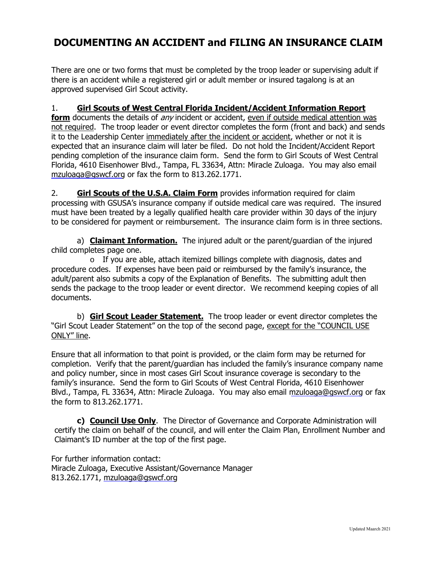## **DOCUMENTING AN ACCIDENT and FILING AN INSURANCE CLAIM**

There are one or two forms that must be completed by the troop leader or supervising adult if there is an accident while a registered girl or adult member or insured tagalong is at an approved supervised Girl Scout activity.

#### 1. **Girl Scouts of West Central Florida Incident/Accident Information Report**

**form** documents the details of *any* incident or accident, even if outside medical attention was not required. The troop leader or event director completes the form (front and back) and sends it to the Leadership Center immediately after the incident or accident, whether or not it is expected that an insurance claim will later be filed. Do not hold the Incident/Accident Report pending completion of the insurance claim form. Send the form to Girl Scouts of West Central Florida, 4610 Eisenhower Blvd., Tampa, FL 33634, Attn: Miracle Zuloaga. You may also email mzuloaga@gswcf.org or fax the form to 813.262.1771.

2. **Girl Scouts of the U.S.A. Claim Form** provides information required for claim processing with GSUSA's insurance company if outside medical care was required. The insured must have been treated by a legally qualified health care provider within 30 days of the injury to be considered for payment or reimbursement. The insurance claim form is in three sections.

a) **Claimant Information.** The injured adult or the parent/guardian of the injured child completes page one.

 $\circ$  If you are able, attach itemized billings complete with diagnosis, dates and procedure codes. If expenses have been paid or reimbursed by the family's insurance, the adult/parent also submits a copy of the Explanation of Benefits. The submitting adult then sends the package to the troop leader or event director. We recommend keeping copies of all documents.

b) **Girl Scout Leader Statement.** The troop leader or event director completes the "Girl Scout Leader Statement" on the top of the second page, except for the "COUNCIL USE ONLY" line.

Ensure that all information to that point is provided, or the claim form may be returned for completion. Verify that the parent/guardian has included the family's insurance company name and policy number, since in most cases Girl Scout insurance coverage is secondary to the family's insurance. Send the form to Girl Scouts of West Central Florida, 4610 Eisenhower Blvd., Tampa, FL 33634, Attn: Miracle Zuloaga. You may also email mzuloaga@gswcf.org or fax the form to 813.262.1771.

**c) Council Use Only**. The Director of Governance and Corporate Administration will certify the claim on behalf of the council, and will enter the Claim Plan, Enrollment Number and Claimant's ID number at the top of the first page.

For further information contact: Miracle Zuloaga, Executive Assistant/Governance Manager 813.262.1771, mzuloaga@gswcf.org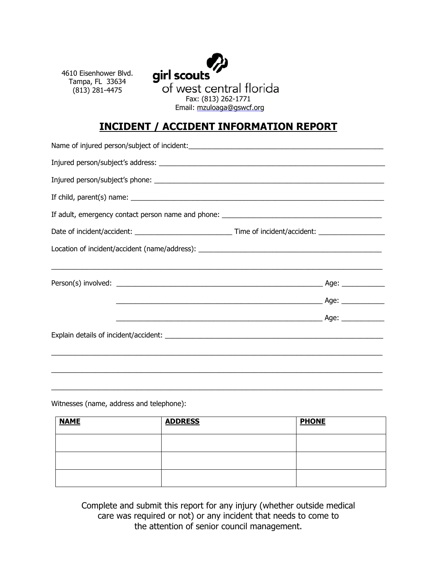4610 Eisenhower Blvd. Tampa, FL 33634 (813) 281-4475



## **INCIDENT / ACCIDENT INFORMATION REPORT**

| If child, parent(s) name: $\sqrt{2}$ |  |  |
|--------------------------------------|--|--|
|                                      |  |  |
|                                      |  |  |
|                                      |  |  |
|                                      |  |  |
|                                      |  |  |
|                                      |  |  |
|                                      |  |  |
|                                      |  |  |
|                                      |  |  |
|                                      |  |  |
|                                      |  |  |

Witnesses (name, address and telephone):

| <b>NAME</b> | <b>ADDRESS</b> | <b>PHONE</b> |
|-------------|----------------|--------------|
|             |                |              |
|             |                |              |
|             |                |              |

 $\_$  , and the state of the state of the state of the state of the state of the state of the state of the state of the state of the state of the state of the state of the state of the state of the state of the state of the

Complete and submit this report for any injury (whether outside medical care was required or not) or any incident that needs to come to the attention of senior council management.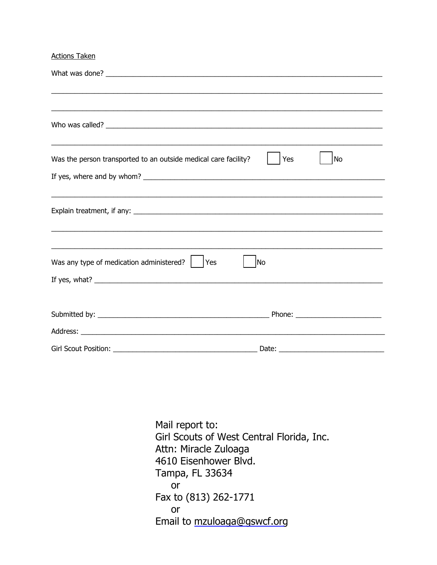**Actions Taken** 

| <u> 1989 - Johann Stoff, amerikansk politiker (d. 1989)</u>                                                           |           |
|-----------------------------------------------------------------------------------------------------------------------|-----------|
| Was the person transported to an outside medical care facility?                                                       | Yes<br>No |
|                                                                                                                       |           |
|                                                                                                                       |           |
|                                                                                                                       |           |
|                                                                                                                       |           |
| <u> 1989 - Johann John Stoff, deutscher Stoffen und der Stoffen und der Stoffen und der Stoffen und der Stoffen u</u> |           |
| Was any type of medication administered?<br>Yes                                                                       | No        |
|                                                                                                                       |           |
|                                                                                                                       |           |
|                                                                                                                       |           |
|                                                                                                                       |           |
| Girl Scout Position:<br><u> 1989 - Johann Barbara, martxa alemaniar a</u>                                             |           |

Mail report to: Girl Scouts of West Central Florida, Inc. Attn: Miracle Zuloaga 4610 Eisenhower Blvd. Tampa, FL 33634  $or$ Fax to (813) 262-1771 or Email to mzuloaga@gswcf.org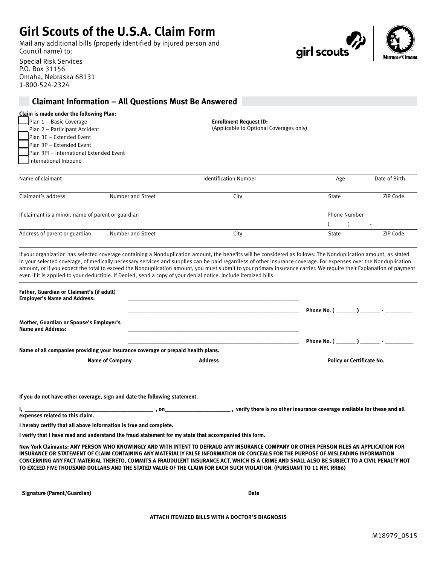# **Girl Scouts of the U.S.A. Claim Form**

Mail any additional bills (properly identified by injured person and Council name) to:

Special Risk Services P.O. Box 31156 Omaha, Nebraska 68131 1-800-524-2324



### **Claimant Information – All Questions Must Be Answered**

| Claim is made under the following Plan: |                                      |  |  |  |
|-----------------------------------------|--------------------------------------|--|--|--|
|                                         | $Plan 1 - Basic Coverage$            |  |  |  |
|                                         | $\Box$ Plan 2 – Participant Accident |  |  |  |
|                                         |                                      |  |  |  |

Plan 3E – Extended Event

- Plan 3P Extended Event Plan 3PI – International Extended Event
- International Inbound

**Enrollment Request ID:** (Applicable to Optional Coverages only)

| Name of claimant                                   |                   | <b>Identification Number</b> | Age                 | Date of Birth                        |
|----------------------------------------------------|-------------------|------------------------------|---------------------|--------------------------------------|
| Claimant's address                                 | Number and Street | City                         | State               | ZIP Code                             |
| If claimant is a minor, name of parent or guardian |                   |                              | <b>Phone Number</b> |                                      |
| Address of parent or guardian                      | Number and Street | City                         | State               | $\overline{\phantom{a}}$<br>ZIP Code |

If your organization has selected coverage containing a Nonduplication amount, the benefits will be considered as follows: The Nonduplication amount, as stated in your selected coverage, of medically necessary services and supplies can be paid regardless of other insurance coverage. For expenses over the Nonduplication amount, or if you expect the total to exceed the Nonduplication amount, you must submit to your primary insurance carrier. We require their Explanation of payment even if it is applied to your deductible. If Denied, send a copy of your denial notice. Include itemized bills.

|                                                                                  | Phone No. $($ $)$ $-$            |
|----------------------------------------------------------------------------------|----------------------------------|
|                                                                                  |                                  |
|                                                                                  |                                  |
| Name of all companies providing your insurance coverage or prepaid health plans. |                                  |
| <b>Address</b>                                                                   | <b>Policy or Certificate No.</b> |
|                                                                                  |                                  |
|                                                                                  |                                  |
|                                                                                  |                                  |

**If you do not have other coverage, sign and date the following statement.**

**I, \_\_\_\_\_\_\_\_\_\_\_\_\_\_\_\_\_\_\_\_\_\_\_\_\_\_\_\_\_\_\_\_\_\_\_\_\_\_\_\_\_\_\_\_\_ , on\_\_\_\_\_\_\_\_\_\_\_\_\_\_\_\_\_\_\_\_\_\_\_ , verify there is no other insurance coverage available for these and all expenses related to this claim.**

**I hereby certify that all above information is true and complete.**

**I verify that I have read and understand the fraud statement for my state that accompanied this form.**

**New York Claimants: ANY PERSON WHO KNOWINGLY AND WITH INTENT TO DEFRAUD ANY INSURANCE COMPANY OR OTHER PERSON FILES AN APPLICATION FOR INSURANCE OR STATEMENT OF CLAIM CONTAINING ANY MATERIALLY FALSE INFORMATION OR CONCEALS FOR THE PURPOSE OF MISLEADING INFORMATION CONCERNING ANY FACT MATERIAL THERETO, COMMITS A FRAUDULENT INSURANCE ACT, WHICH IS A CRIME AND SHALL ALSO BE SUBJECT TO A CIVIL PENALTY NOT TO EXCEED FIVE THOUSAND DOLLARS AND THE STATED VALUE OF THE CLAIM FOR EACH SUCH VIOLATION. (PURSUANT TO 11 NYC RR86)**

**\_\_\_\_\_\_\_\_\_\_\_\_\_\_\_\_\_\_\_\_\_\_\_\_\_\_\_\_\_\_\_\_\_\_\_\_\_\_\_\_\_\_\_\_\_\_\_\_\_\_\_\_\_\_\_\_\_\_\_\_\_\_\_\_\_\_\_\_\_\_\_\_\_\_\_\_\_ \_\_\_\_\_\_\_\_\_\_\_\_\_\_\_\_\_\_\_\_\_\_\_\_\_\_\_\_\_\_\_\_\_\_\_\_\_ Signature (Parent/Guardian) Date** 

**ATTACH ITEMIZED BILLS WITH A DOCTOR'S DIAGNOSIS**